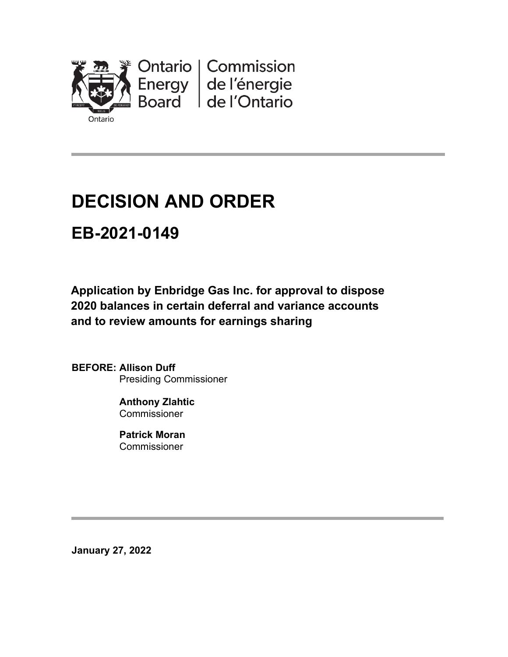

# **DECISION AND ORDER**

# **EB-2021-0149**

**Application by Enbridge Gas Inc. for approval to dispose 2020 balances in certain deferral and variance accounts and to review amounts for earnings sharing**

**BEFORE: Allison Duff** Presiding Commissioner

> **Anthony Zlahtic Commissioner**

**Patrick Moran** Commissioner

**January 27, 2022**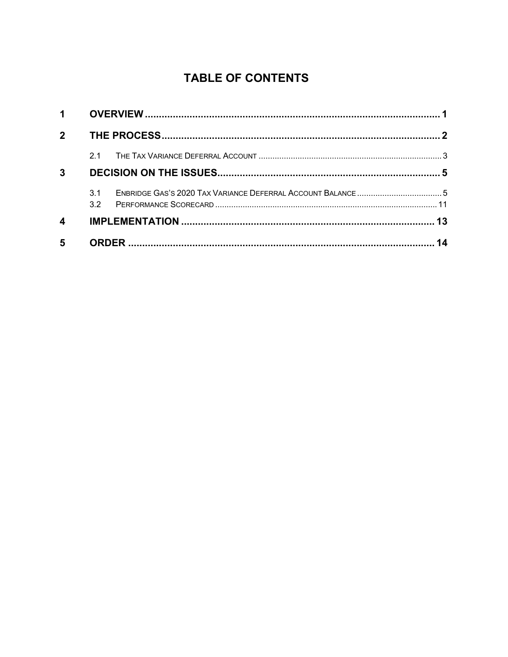### **TABLE OF CONTENTS**

| 1 <sup>1</sup>          |     |  |    |
|-------------------------|-----|--|----|
| $2^{\circ}$             |     |  |    |
|                         | 21  |  |    |
| $\mathbf{3}$            |     |  |    |
|                         | 3.1 |  |    |
| $\overline{\mathbf{4}}$ |     |  |    |
| $5\phantom{1}$          |     |  | 14 |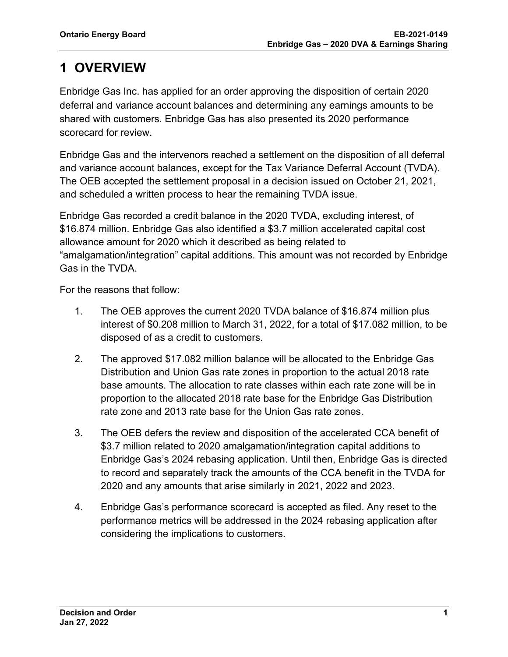# <span id="page-2-0"></span>**1 OVERVIEW**

Enbridge Gas Inc. has applied for an order approving the disposition of certain 2020 deferral and variance account balances and determining any earnings amounts to be shared with customers. Enbridge Gas has also presented its 2020 performance scorecard for review.

Enbridge Gas and the intervenors reached a settlement on the disposition of all deferral and variance account balances, except for the Tax Variance Deferral Account (TVDA). The OEB accepted the settlement proposal in a decision issued on October 21, 2021, and scheduled a written process to hear the remaining TVDA issue.

Enbridge Gas recorded a credit balance in the 2020 TVDA, excluding interest, of \$16.874 million. Enbridge Gas also identified a \$3.7 million accelerated capital cost allowance amount for 2020 which it described as being related to "amalgamation/integration" capital additions. This amount was not recorded by Enbridge Gas in the TVDA.

For the reasons that follow:

- 1. The OEB approves the current 2020 TVDA balance of \$16.874 million plus interest of \$0.208 million to March 31, 2022, for a total of \$17.082 million, to be disposed of as a credit to customers.
- 2. The approved \$17.082 million balance will be allocated to the Enbridge Gas Distribution and Union Gas rate zones in proportion to the actual 2018 rate base amounts. The allocation to rate classes within each rate zone will be in proportion to the allocated 2018 rate base for the Enbridge Gas Distribution rate zone and 2013 rate base for the Union Gas rate zones.
- 3. The OEB defers the review and disposition of the accelerated CCA benefit of \$3.7 million related to 2020 amalgamation/integration capital additions to Enbridge Gas's 2024 rebasing application. Until then, Enbridge Gas is directed to record and separately track the amounts of the CCA benefit in the TVDA for 2020 and any amounts that arise similarly in 2021, 2022 and 2023.
- 4. Enbridge Gas's performance scorecard is accepted as filed. Any reset to the performance metrics will be addressed in the 2024 rebasing application after considering the implications to customers.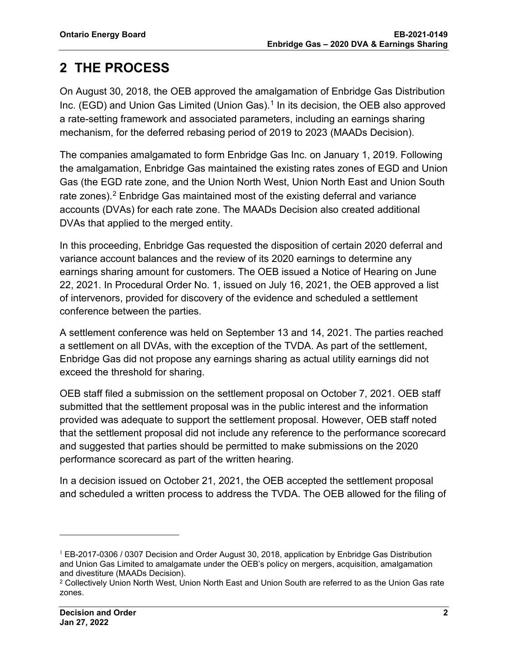# <span id="page-3-0"></span>**2 THE PROCESS**

On August 30, 2018, the OEB approved the amalgamation of Enbridge Gas Distribution Inc. (EGD) and Union Gas Limited (Union Gas). [1](#page-3-1) In its decision, the OEB also approved a rate-setting framework and associated parameters, including an earnings sharing mechanism, for the deferred rebasing period of 2019 to 2023 (MAADs Decision).

The companies amalgamated to form Enbridge Gas Inc. on January 1, 2019. Following the amalgamation, Enbridge Gas maintained the existing rates zones of EGD and Union Gas (the EGD rate zone, and the Union North West, Union North East and Union South rate zones).<sup>[2](#page-3-2)</sup> Enbridge Gas maintained most of the existing deferral and variance accounts (DVAs) for each rate zone. The MAADs Decision also created additional DVAs that applied to the merged entity.

In this proceeding, Enbridge Gas requested the disposition of certain 2020 deferral and variance account balances and the review of its 2020 earnings to determine any earnings sharing amount for customers. The OEB issued a Notice of Hearing on June 22, 2021. In Procedural Order No. 1, issued on July 16, 2021, the OEB approved a list of intervenors, provided for discovery of the evidence and scheduled a settlement conference between the parties.

A settlement conference was held on September 13 and 14, 2021. The parties reached a settlement on all DVAs, with the exception of the TVDA. As part of the settlement, Enbridge Gas did not propose any earnings sharing as actual utility earnings did not exceed the threshold for sharing.

OEB staff filed a submission on the settlement proposal on October 7, 2021. OEB staff submitted that the settlement proposal was in the public interest and the information provided was adequate to support the settlement proposal. However, OEB staff noted that the settlement proposal did not include any reference to the performance scorecard and suggested that parties should be permitted to make submissions on the 2020 performance scorecard as part of the written hearing.

In a decision issued on October 21, 2021, the OEB accepted the settlement proposal and scheduled a written process to address the TVDA. The OEB allowed for the filing of

<span id="page-3-1"></span> $1$  EB-2017-0306 / 0307 Decision and Order August 30, 2018, application by Enbridge Gas Distribution and Union Gas Limited to amalgamate under the OEB's policy on mergers, acquisition, amalgamation and divestiture (MAADs Decision).

<span id="page-3-2"></span><sup>2</sup> Collectively Union North West, Union North East and Union South are referred to as the Union Gas rate zones.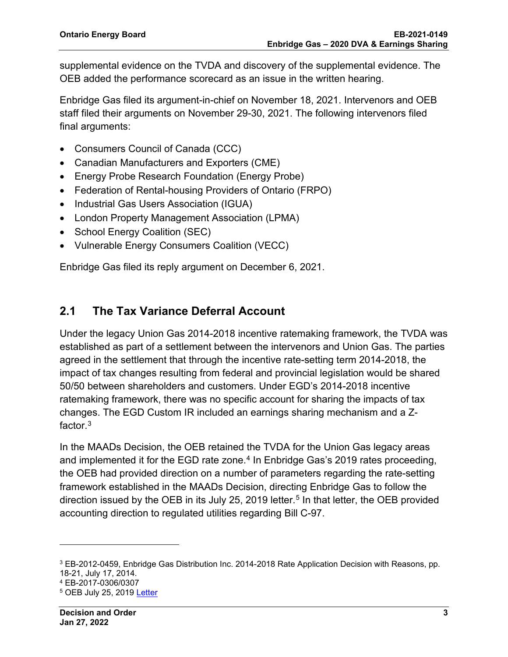supplemental evidence on the TVDA and discovery of the supplemental evidence. The OEB added the performance scorecard as an issue in the written hearing.

Enbridge Gas filed its argument-in-chief on November 18, 2021. Intervenors and OEB staff filed their arguments on November 29-30, 2021. The following intervenors filed final arguments:

- Consumers Council of Canada (CCC)
- Canadian Manufacturers and Exporters (CME)
- Energy Probe Research Foundation (Energy Probe)
- Federation of Rental-housing Providers of Ontario (FRPO)
- Industrial Gas Users Association (IGUA)
- London Property Management Association (LPMA)
- School Energy Coalition (SEC)
- Vulnerable Energy Consumers Coalition (VECC)

Enbridge Gas filed its reply argument on December 6, 2021.

### <span id="page-4-0"></span>**2.1 The Tax Variance Deferral Account**

Under the legacy Union Gas 2014-2018 incentive ratemaking framework, the TVDA was established as part of a settlement between the intervenors and Union Gas. The parties agreed in the settlement that through the incentive rate-setting term 2014-2018, the impact of tax changes resulting from federal and provincial legislation would be shared 50/50 between shareholders and customers. Under EGD's 2014-2018 incentive ratemaking framework, there was no specific account for sharing the impacts of tax changes. The EGD Custom IR included an earnings sharing mechanism and a Zfactor. $^3$  $^3$ 

In the MAADs Decision, the OEB retained the TVDA for the Union Gas legacy areas and implemented it for the EGD rate zone.<sup>[4](#page-4-2)</sup> In Enbridge Gas's 2019 rates proceeding, the OEB had provided direction on a number of parameters regarding the rate-setting framework established in the MAADs Decision, directing Enbridge Gas to follow the direction issued by the OEB in its July 2[5](#page-4-3), 2019 letter.<sup>5</sup> In that letter, the OEB provided accounting direction to regulated utilities regarding Bill C-97.

<span id="page-4-1"></span><sup>3</sup> EB-2012-0459, Enbridge Gas Distribution Inc. 2014-2018 Rate Application Decision with Reasons, pp. 18-21, July 17, 2014.

<span id="page-4-2"></span><sup>4</sup> EB-2017-0306/0307

<span id="page-4-3"></span><sup>5</sup> OEB July 25, 2019 [Letter](https://www.rds.oeb.ca/CMWebDrawer/Record/648111/File/document)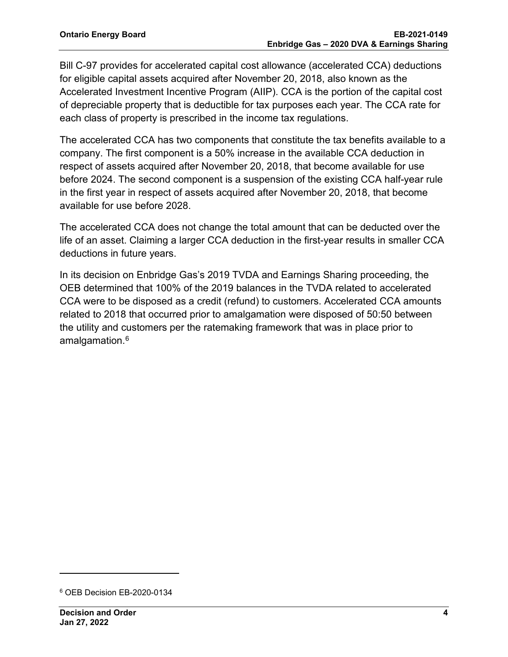Bill C-97 provides for accelerated capital cost allowance (accelerated CCA) deductions for eligible capital assets acquired after November 20, 2018, also known as the Accelerated Investment Incentive Program (AIIP). CCA is the portion of the capital cost of depreciable property that is deductible for tax purposes each year. The CCA rate for each class of property is prescribed in the income tax regulations.

The accelerated CCA has two components that constitute the tax benefits available to a company. The first component is a 50% increase in the available CCA deduction in respect of assets acquired after November 20, 2018, that become available for use before 2024. The second component is a suspension of the existing CCA half-year rule in the first year in respect of assets acquired after November 20, 2018, that become available for use before 2028.

The accelerated CCA does not change the total amount that can be deducted over the life of an asset. Claiming a larger CCA deduction in the first-year results in smaller CCA deductions in future years.

In its decision on Enbridge Gas's 2019 TVDA and Earnings Sharing proceeding, the OEB determined that 100% of the 2019 balances in the TVDA related to accelerated CCA were to be disposed as a credit (refund) to customers. Accelerated CCA amounts related to 2018 that occurred prior to amalgamation were disposed of 50:50 between the utility and customers per the ratemaking framework that was in place prior to amalgamation.<sup>[6](#page-5-0)</sup>

<span id="page-5-0"></span><sup>6</sup> OEB Decision EB-2020-0134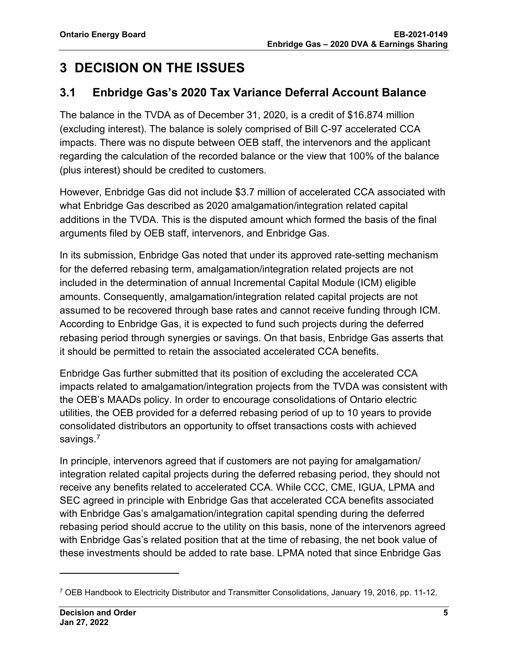# <span id="page-6-0"></span>**3 DECISION ON THE ISSUES**

### <span id="page-6-1"></span>**3.1 Enbridge Gas's 2020 Tax Variance Deferral Account Balance**

The balance in the TVDA as of December 31, 2020, is a credit of \$16.874 million (excluding interest). The balance is solely comprised of Bill C-97 accelerated CCA impacts. There was no dispute between OEB staff, the intervenors and the applicant regarding the calculation of the recorded balance or the view that 100% of the balance (plus interest) should be credited to customers.

However, Enbridge Gas did not include \$3.7 million of accelerated CCA associated with what Enbridge Gas described as 2020 amalgamation/integration related capital additions in the TVDA. This is the disputed amount which formed the basis of the final arguments filed by OEB staff, intervenors, and Enbridge Gas.

In its submission, Enbridge Gas noted that under its approved rate-setting mechanism for the deferred rebasing term, amalgamation/integration related projects are not included in the determination of annual Incremental Capital Module (ICM) eligible amounts. Consequently, amalgamation/integration related capital projects are not assumed to be recovered through base rates and cannot receive funding through ICM. According to Enbridge Gas, it is expected to fund such projects during the deferred rebasing period through synergies or savings. On that basis, Enbridge Gas asserts that it should be permitted to retain the associated accelerated CCA benefits.

Enbridge Gas further submitted that its position of excluding the accelerated CCA impacts related to amalgamation/integration projects from the TVDA was consistent with the OEB's MAADs policy. In order to encourage consolidations of Ontario electric utilities, the OEB provided for a deferred rebasing period of up to 10 years to provide consolidated distributors an opportunity to offset transactions costs with achieved savings.<sup>[7](#page-6-2)</sup>

In principle, intervenors agreed that if customers are not paying for amalgamation/ integration related capital projects during the deferred rebasing period, they should not receive any benefits related to accelerated CCA. While CCC, CME, IGUA, LPMA and SEC agreed in principle with Enbridge Gas that accelerated CCA benefits associated with Enbridge Gas's amalgamation/integration capital spending during the deferred rebasing period should accrue to the utility on this basis, none of the intervenors agreed with Enbridge Gas's related position that at the time of rebasing, the net book value of these investments should be added to rate base. LPMA noted that since Enbridge Gas

<span id="page-6-2"></span><sup>7</sup> OEB Handbook to Electricity Distributor and Transmitter Consolidations, January 19, 2016, pp. 11-12.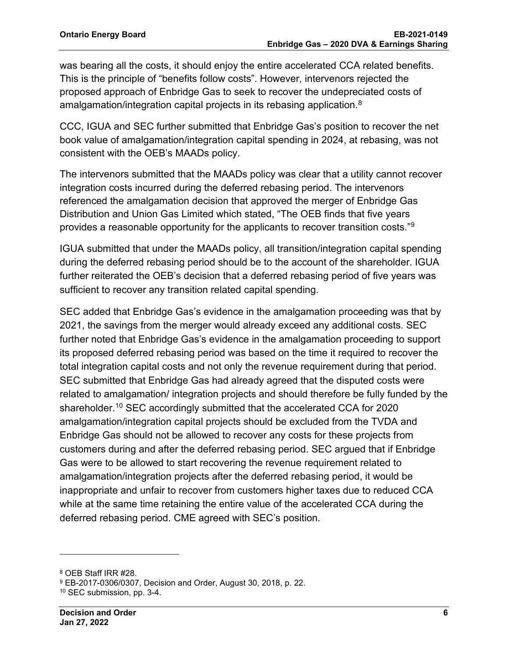was bearing all the costs, it should enjoy the entire accelerated CCA related benefits. This is the principle of "benefits follow costs". However, intervenors rejected the proposed approach of Enbridge Gas to seek to recover the undepreciated costs of amalgamation/integration capital projects in its rebasing application. $^8$  $^8$ 

CCC, IGUA and SEC further submitted that Enbridge Gas's position to recover the net book value of amalgamation/integration capital spending in 2024, at rebasing, was not consistent with the OEB's MAADs policy.

The intervenors submitted that the MAADs policy was clear that a utility cannot recover integration costs incurred during the deferred rebasing period. The intervenors referenced the amalgamation decision that approved the merger of Enbridge Gas Distribution and Union Gas Limited which stated, "The OEB finds that five years provides a reasonable opportunity for the applicants to recover transition costs.["9](#page-7-1)

IGUA submitted that under the MAADs policy, all transition/integration capital spending during the deferred rebasing period should be to the account of the shareholder. IGUA further reiterated the OEB's decision that a deferred rebasing period of five years was sufficient to recover any transition related capital spending.

SEC added that Enbridge Gas's evidence in the amalgamation proceeding was that by 2021, the savings from the merger would already exceed any additional costs. SEC further noted that Enbridge Gas's evidence in the amalgamation proceeding to support its proposed deferred rebasing period was based on the time it required to recover the total integration capital costs and not only the revenue requirement during that period. SEC submitted that Enbridge Gas had already agreed that the disputed costs were related to amalgamation/ integration projects and should therefore be fully funded by the shareholder.<sup>[10](#page-7-2)</sup> SEC accordingly submitted that the accelerated CCA for 2020 amalgamation/integration capital projects should be excluded from the TVDA and Enbridge Gas should not be allowed to recover any costs for these projects from customers during and after the deferred rebasing period. SEC argued that if Enbridge Gas were to be allowed to start recovering the revenue requirement related to amalgamation/integration projects after the deferred rebasing period, it would be inappropriate and unfair to recover from customers higher taxes due to reduced CCA while at the same time retaining the entire value of the accelerated CCA during the deferred rebasing period. CME agreed with SEC's position.

<span id="page-7-0"></span><sup>8</sup> OEB Staff IRR #28.

<span id="page-7-1"></span><sup>9</sup> EB-2017-0306/0307, Decision and Order, August 30, 2018, p. 22.

<span id="page-7-2"></span><sup>10</sup> SEC submission, pp. 3-4.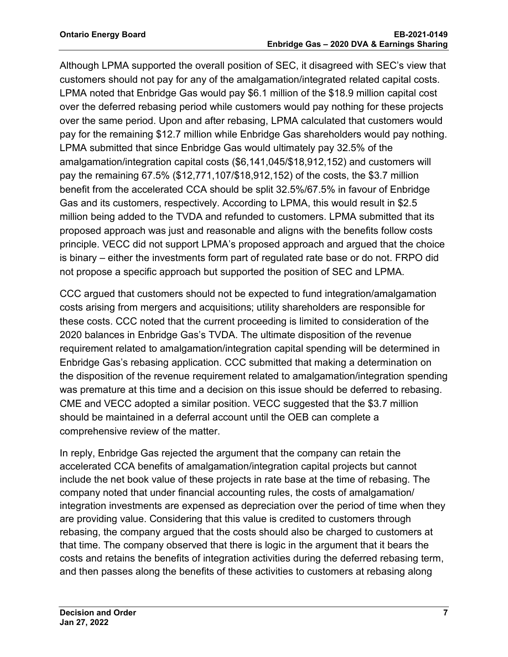Although LPMA supported the overall position of SEC, it disagreed with SEC's view that customers should not pay for any of the amalgamation/integrated related capital costs. LPMA noted that Enbridge Gas would pay \$6.1 million of the \$18.9 million capital cost over the deferred rebasing period while customers would pay nothing for these projects over the same period. Upon and after rebasing, LPMA calculated that customers would pay for the remaining \$12.7 million while Enbridge Gas shareholders would pay nothing. LPMA submitted that since Enbridge Gas would ultimately pay 32.5% of the amalgamation/integration capital costs (\$6,141,045/\$18,912,152) and customers will pay the remaining 67.5% (\$12,771,107/\$18,912,152) of the costs, the \$3.7 million benefit from the accelerated CCA should be split 32.5%/67.5% in favour of Enbridge Gas and its customers, respectively. According to LPMA, this would result in \$2.5 million being added to the TVDA and refunded to customers. LPMA submitted that its proposed approach was just and reasonable and aligns with the benefits follow costs principle. VECC did not support LPMA's proposed approach and argued that the choice is binary – either the investments form part of regulated rate base or do not. FRPO did not propose a specific approach but supported the position of SEC and LPMA.

CCC argued that customers should not be expected to fund integration/amalgamation costs arising from mergers and acquisitions; utility shareholders are responsible for these costs. CCC noted that the current proceeding is limited to consideration of the 2020 balances in Enbridge Gas's TVDA. The ultimate disposition of the revenue requirement related to amalgamation/integration capital spending will be determined in Enbridge Gas's rebasing application. CCC submitted that making a determination on the disposition of the revenue requirement related to amalgamation/integration spending was premature at this time and a decision on this issue should be deferred to rebasing. CME and VECC adopted a similar position. VECC suggested that the \$3.7 million should be maintained in a deferral account until the OEB can complete a comprehensive review of the matter.

In reply, Enbridge Gas rejected the argument that the company can retain the accelerated CCA benefits of amalgamation/integration capital projects but cannot include the net book value of these projects in rate base at the time of rebasing. The company noted that under financial accounting rules, the costs of amalgamation/ integration investments are expensed as depreciation over the period of time when they are providing value. Considering that this value is credited to customers through rebasing, the company argued that the costs should also be charged to customers at that time. The company observed that there is logic in the argument that it bears the costs and retains the benefits of integration activities during the deferred rebasing term, and then passes along the benefits of these activities to customers at rebasing along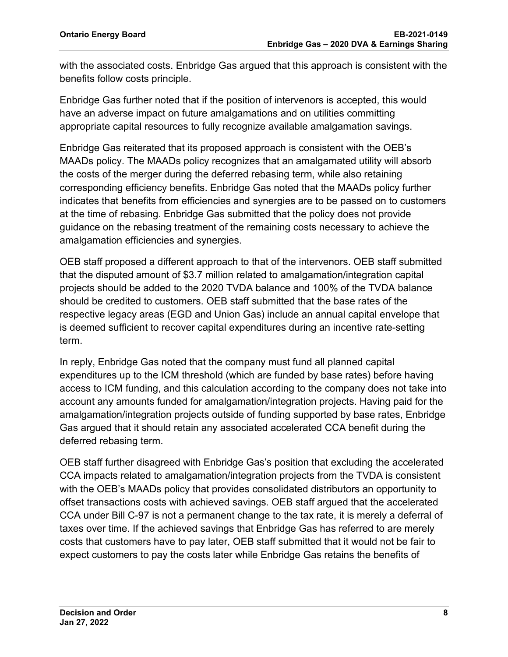with the associated costs. Enbridge Gas argued that this approach is consistent with the benefits follow costs principle.

Enbridge Gas further noted that if the position of intervenors is accepted, this would have an adverse impact on future amalgamations and on utilities committing appropriate capital resources to fully recognize available amalgamation savings.

Enbridge Gas reiterated that its proposed approach is consistent with the OEB's MAADs policy. The MAADs policy recognizes that an amalgamated utility will absorb the costs of the merger during the deferred rebasing term, while also retaining corresponding efficiency benefits. Enbridge Gas noted that the MAADs policy further indicates that benefits from efficiencies and synergies are to be passed on to customers at the time of rebasing. Enbridge Gas submitted that the policy does not provide guidance on the rebasing treatment of the remaining costs necessary to achieve the amalgamation efficiencies and synergies.

OEB staff proposed a different approach to that of the intervenors. OEB staff submitted that the disputed amount of \$3.7 million related to amalgamation/integration capital projects should be added to the 2020 TVDA balance and 100% of the TVDA balance should be credited to customers. OEB staff submitted that the base rates of the respective legacy areas (EGD and Union Gas) include an annual capital envelope that is deemed sufficient to recover capital expenditures during an incentive rate-setting term.

In reply, Enbridge Gas noted that the company must fund all planned capital expenditures up to the ICM threshold (which are funded by base rates) before having access to ICM funding, and this calculation according to the company does not take into account any amounts funded for amalgamation/integration projects. Having paid for the amalgamation/integration projects outside of funding supported by base rates, Enbridge Gas argued that it should retain any associated accelerated CCA benefit during the deferred rebasing term.

OEB staff further disagreed with Enbridge Gas's position that excluding the accelerated CCA impacts related to amalgamation/integration projects from the TVDA is consistent with the OEB's MAADs policy that provides consolidated distributors an opportunity to offset transactions costs with achieved savings. OEB staff argued that the accelerated CCA under Bill C-97 is not a permanent change to the tax rate, it is merely a deferral of taxes over time. If the achieved savings that Enbridge Gas has referred to are merely costs that customers have to pay later, OEB staff submitted that it would not be fair to expect customers to pay the costs later while Enbridge Gas retains the benefits of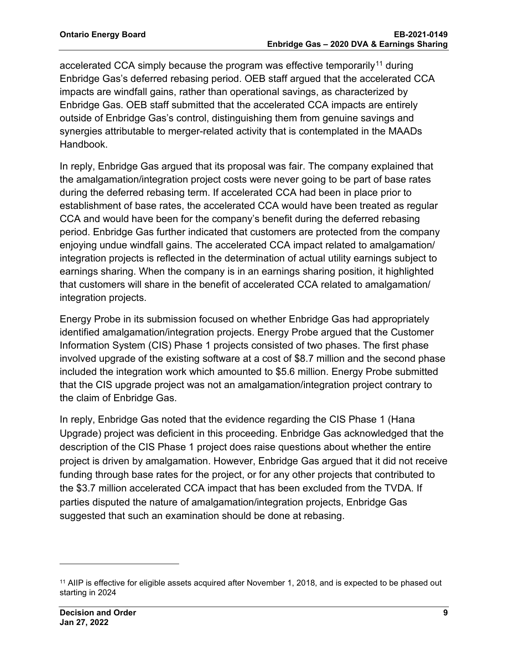accelerated CCA simply because the program was effective temporarily<sup>[11](#page-10-0)</sup> during Enbridge Gas's deferred rebasing period. OEB staff argued that the accelerated CCA impacts are windfall gains, rather than operational savings, as characterized by Enbridge Gas. OEB staff submitted that the accelerated CCA impacts are entirely outside of Enbridge Gas's control, distinguishing them from genuine savings and synergies attributable to merger-related activity that is contemplated in the MAADs Handbook.

In reply, Enbridge Gas argued that its proposal was fair. The company explained that the amalgamation/integration project costs were never going to be part of base rates during the deferred rebasing term. If accelerated CCA had been in place prior to establishment of base rates, the accelerated CCA would have been treated as regular CCA and would have been for the company's benefit during the deferred rebasing period. Enbridge Gas further indicated that customers are protected from the company enjoying undue windfall gains. The accelerated CCA impact related to amalgamation/ integration projects is reflected in the determination of actual utility earnings subject to earnings sharing. When the company is in an earnings sharing position, it highlighted that customers will share in the benefit of accelerated CCA related to amalgamation/ integration projects.

Energy Probe in its submission focused on whether Enbridge Gas had appropriately identified amalgamation/integration projects. Energy Probe argued that the Customer Information System (CIS) Phase 1 projects consisted of two phases. The first phase involved upgrade of the existing software at a cost of \$8.7 million and the second phase included the integration work which amounted to \$5.6 million. Energy Probe submitted that the CIS upgrade project was not an amalgamation/integration project contrary to the claim of Enbridge Gas.

In reply, Enbridge Gas noted that the evidence regarding the CIS Phase 1 (Hana Upgrade) project was deficient in this proceeding. Enbridge Gas acknowledged that the description of the CIS Phase 1 project does raise questions about whether the entire project is driven by amalgamation. However, Enbridge Gas argued that it did not receive funding through base rates for the project, or for any other projects that contributed to the \$3.7 million accelerated CCA impact that has been excluded from the TVDA. If parties disputed the nature of amalgamation/integration projects, Enbridge Gas suggested that such an examination should be done at rebasing.

<span id="page-10-0"></span><sup>&</sup>lt;sup>11</sup> AIIP is effective for eligible assets acquired after November 1, 2018, and is expected to be phased out starting in 2024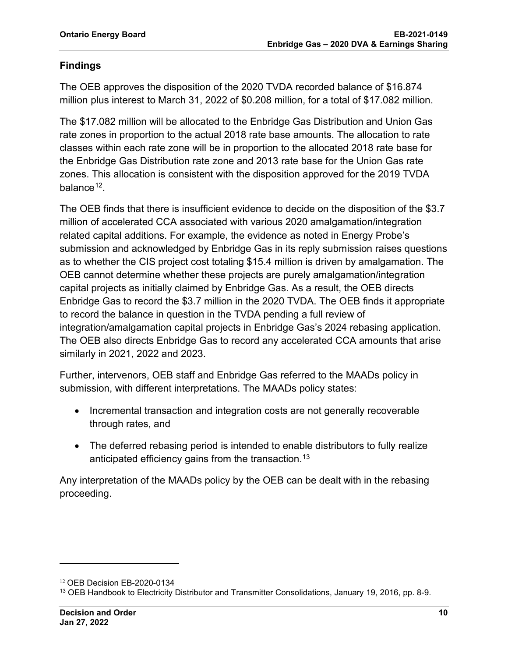#### **Findings**

The OEB approves the disposition of the 2020 TVDA recorded balance of \$16.874 million plus interest to March 31, 2022 of \$0.208 million, for a total of \$17.082 million.

The \$17.082 million will be allocated to the Enbridge Gas Distribution and Union Gas rate zones in proportion to the actual 2018 rate base amounts. The allocation to rate classes within each rate zone will be in proportion to the allocated 2018 rate base for the Enbridge Gas Distribution rate zone and 2013 rate base for the Union Gas rate zones. This allocation is consistent with the disposition approved for the 2019 TVDA balance $12$ .

The OEB finds that there is insufficient evidence to decide on the disposition of the \$3.7 million of accelerated CCA associated with various 2020 amalgamation/integration related capital additions. For example, the evidence as noted in Energy Probe's submission and acknowledged by Enbridge Gas in its reply submission raises questions as to whether the CIS project cost totaling \$15.4 million is driven by amalgamation. The OEB cannot determine whether these projects are purely amalgamation/integration capital projects as initially claimed by Enbridge Gas. As a result, the OEB directs Enbridge Gas to record the \$3.7 million in the 2020 TVDA. The OEB finds it appropriate to record the balance in question in the TVDA pending a full review of integration/amalgamation capital projects in Enbridge Gas's 2024 rebasing application. The OEB also directs Enbridge Gas to record any accelerated CCA amounts that arise similarly in 2021, 2022 and 2023.

Further, intervenors, OEB staff and Enbridge Gas referred to the MAADs policy in submission, with different interpretations. The MAADs policy states:

- Incremental transaction and integration costs are not generally recoverable through rates, and
- The deferred rebasing period is intended to enable distributors to fully realize anticipated efficiency gains from the transaction.<sup>[13](#page-11-1)</sup>

Any interpretation of the MAADs policy by the OEB can be dealt with in the rebasing proceeding.

<span id="page-11-0"></span><sup>12</sup> OEB Decision EB-2020-0134

<span id="page-11-1"></span><sup>13</sup> OEB Handbook to Electricity Distributor and Transmitter Consolidations, January 19, 2016, pp. 8-9.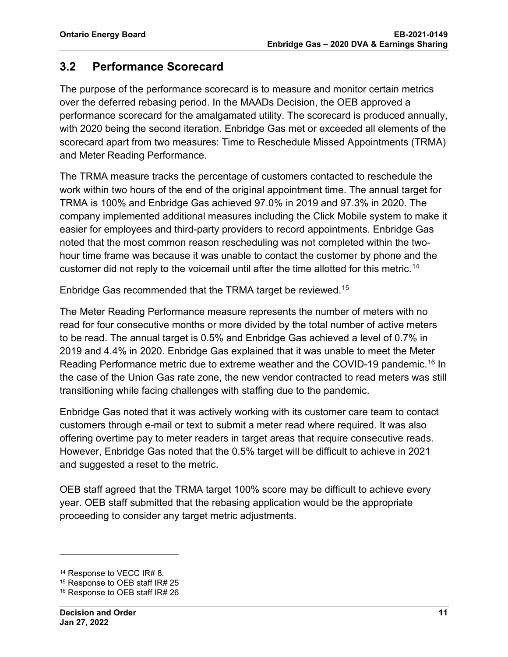### <span id="page-12-0"></span>**3.2 Performance Scorecard**

The purpose of the performance scorecard is to measure and monitor certain metrics over the deferred rebasing period. In the MAADs Decision, the OEB approved a performance scorecard for the amalgamated utility. The scorecard is produced annually, with 2020 being the second iteration. Enbridge Gas met or exceeded all elements of the scorecard apart from two measures: Time to Reschedule Missed Appointments (TRMA) and Meter Reading Performance.

The TRMA measure tracks the percentage of customers contacted to reschedule the work within two hours of the end of the original appointment time. The annual target for TRMA is 100% and Enbridge Gas achieved 97.0% in 2019 and 97.3% in 2020. The company implemented additional measures including the Click Mobile system to make it easier for employees and third-party providers to record appointments. Enbridge Gas noted that the most common reason rescheduling was not completed within the twohour time frame was because it was unable to contact the customer by phone and the customer did not reply to the voicemail until after the time allotted for this metric.<sup>[14](#page-12-1)</sup>

Enbridge Gas recommended that the TRMA target be reviewed.[15](#page-12-2) 

The Meter Reading Performance measure represents the number of meters with no read for four consecutive months or more divided by the total number of active meters to be read. The annual target is 0.5% and Enbridge Gas achieved a level of 0.7% in 2019 and 4.4% in 2020. Enbridge Gas explained that it was unable to meet the Meter Reading Performance metric due to extreme weather and the COVID-19 pandemic.[16](#page-12-3) In the case of the Union Gas rate zone, the new vendor contracted to read meters was still transitioning while facing challenges with staffing due to the pandemic.

Enbridge Gas noted that it was actively working with its customer care team to contact customers through e-mail or text to submit a meter read where required. It was also offering overtime pay to meter readers in target areas that require consecutive reads. However, Enbridge Gas noted that the 0.5% target will be difficult to achieve in 2021 and suggested a reset to the metric.

OEB staff agreed that the TRMA target 100% score may be difficult to achieve every year. OEB staff submitted that the rebasing application would be the appropriate proceeding to consider any target metric adjustments.

<span id="page-12-1"></span><sup>14</sup> Response to VECC IR# 8.

<span id="page-12-2"></span><sup>15</sup> Response to OEB staff IR# 25

<span id="page-12-3"></span><sup>16</sup> Response to OEB staff IR# 26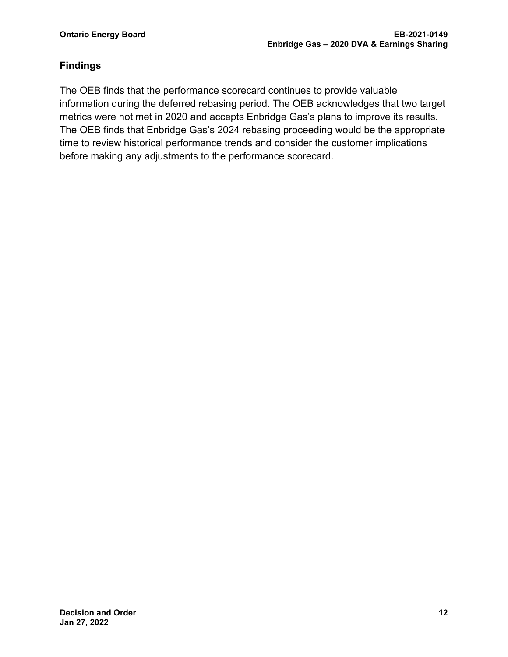#### **Findings**

The OEB finds that the performance scorecard continues to provide valuable information during the deferred rebasing period. The OEB acknowledges that two target metrics were not met in 2020 and accepts Enbridge Gas's plans to improve its results. The OEB finds that Enbridge Gas's 2024 rebasing proceeding would be the appropriate time to review historical performance trends and consider the customer implications before making any adjustments to the performance scorecard.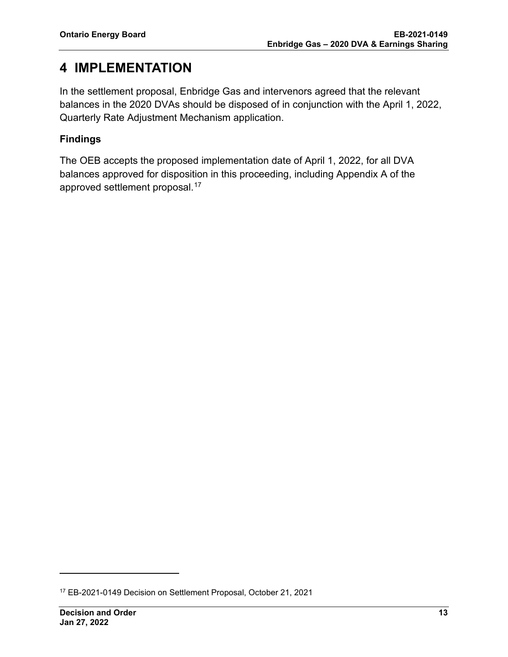### <span id="page-14-0"></span>**4 IMPLEMENTATION**

In the settlement proposal, Enbridge Gas and intervenors agreed that the relevant balances in the 2020 DVAs should be disposed of in conjunction with the April 1, 2022, Quarterly Rate Adjustment Mechanism application.

#### **Findings**

The OEB accepts the proposed implementation date of April 1, 2022, for all DVA balances approved for disposition in this proceeding, including Appendix A of the approved settlement proposal. [17](#page-14-1) 

<span id="page-14-1"></span><sup>17</sup> EB-2021-0149 Decision on Settlement Proposal, October 21, 2021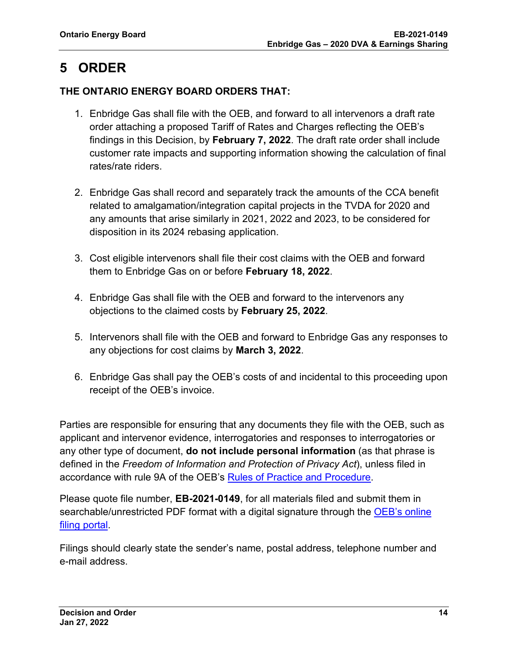# <span id="page-15-0"></span>**5 ORDER**

#### **THE ONTARIO ENERGY BOARD ORDERS THAT:**

- 1. Enbridge Gas shall file with the OEB, and forward to all intervenors a draft rate order attaching a proposed Tariff of Rates and Charges reflecting the OEB's findings in this Decision, by **February 7, 2022**. The draft rate order shall include customer rate impacts and supporting information showing the calculation of final rates/rate riders.
- 2. Enbridge Gas shall record and separately track the amounts of the CCA benefit related to amalgamation/integration capital projects in the TVDA for 2020 and any amounts that arise similarly in 2021, 2022 and 2023, to be considered for disposition in its 2024 rebasing application.
- 3. Cost eligible intervenors shall file their cost claims with the OEB and forward them to Enbridge Gas on or before **February 18, 2022**.
- 4. Enbridge Gas shall file with the OEB and forward to the intervenors any objections to the claimed costs by **February 25, 2022**.
- 5. Intervenors shall file with the OEB and forward to Enbridge Gas any responses to any objections for cost claims by **March 3, 2022**.
- 6. Enbridge Gas shall pay the OEB's costs of and incidental to this proceeding upon receipt of the OEB's invoice.

Parties are responsible for ensuring that any documents they file with the OEB, such as applicant and intervenor evidence, interrogatories and responses to interrogatories or any other type of document, **do not include personal information** (as that phrase is defined in the *Freedom of Information and Protection of Privacy Act*), unless filed in accordance with rule 9A of the OEB's [Rules of Practice and Procedure.](https://www.oeb.ca/industry/rules-codes-and-requirements/rules-practice-procedure)

Please quote file number, **EB-2021-0149**, for all materials filed and submit them in searchable/unrestricted PDF format with a digital signature through the OEB's online [filing portal.](https://p-pes.ontarioenergyboard.ca/PivotalUX/)

Filings should clearly state the sender's name, postal address, telephone number and e-mail address.